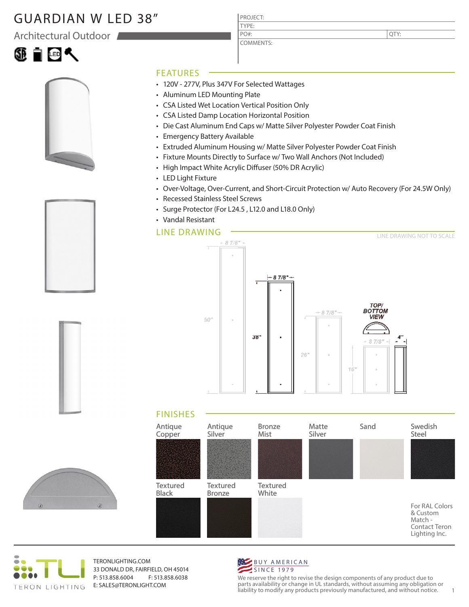## GUARDIAN W LED 38"

Architectural Outdoor







PROJECT: TYPE:

COMMENTS: PO#:

QTY:

### FEATURES

- 120V 277V, Plus 347V For Selected Wattages
- Aluminum LED Mounting Plate
- CSA Listed Wet Location Vertical Position Only
- CSA Listed Damp Location Horizontal Position
- Die Cast Aluminum End Caps w/ Matte Silver Polyester Powder Coat Finish
- Emergency Battery Available
- Extruded Aluminum Housing w/ Matte Silver Polyester Powder Coat Finish
- Fixture Mounts Directly to Surface w/ Two Wall Anchors (Not Included)
- High Impact White Acrylic Diffuser (50% DR Acrylic)
- LED Light Fixture
- Over-Voltage, Over-Current, and Short-Circuit Protection w/ Auto Recovery (For 24.5W Only)
- Recessed Stainless Steel Screws
- Surge Protector (For L24.5 , L12.0 and L18.0 Only)
- Vandal Resistant

### LINE DRAWING



### FINISHES





TERONLIGHTING.COM 33 DONALD DR, FAIRFIELD, OH 45014 P: 513.858.6004 F: 513.858.6038 E: SALES@TERONLIGHT.COM



We reserve the right to revise the design components of any product due to parts availability or change in UL standards, without assuming any obligation or liability to modify any products previously manufactured, and without notice. 1